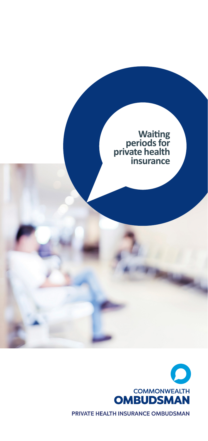**Waiting periods for private health insurance**

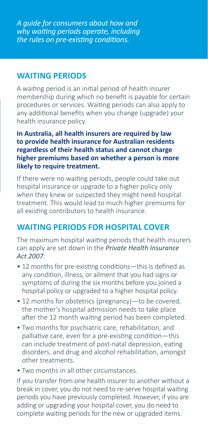# **WAITING PERIODS**

A waiting period is an initial period of health insurer membership during which no benefit is payable for certain procedures or services. Waiting periods can also apply to any additional benefits when you change (upgrade) your health insurance policy.

### **In Australia, all health insurers are required by law to provide health insurance for Australian residents regardless of their health status and cannot charge higher premiums based on whether a person is more likely to require treatment.**

If there were no waiting periods, people could take out hospital insurance or upgrade to a higher policy only when they knew or suspected they might need hospital treatment. This would lead to much higher premiums for all existing contributors to health insurance.

# **WAITING PERIODS FOR HOSPITAL COVER**

The maximum hospital waiting periods that health insurers can apply are set down in the *Private Health Insurance Act 2007*:

- 12 months for pre-existing conditions—this is defined as any condition, illness, or ailment that you had signs or symptoms of during the six months before you joined a hospital policy or upgraded to a higher hospital policy.
- 12 months for obstetrics (pregnancy)—to be covered, the mother's hospital admission needs to take place after the 12 month waiting period has been completed.
- Two months for psychiatric care, rehabilitation, and palliative care, even for a pre-existing condition—this can include treatment of post-natal depression, eating disorders, and drug and alcohol rehabilitation, amongst other treatments.
- Two months in all other circumstances.

If you transfer from one health insurer to another without a break in cover, you do not need to re-serve hospital waiting periods you have previously completed. However, if you are adding or upgrading your hospital cover, you do need to complete waiting periods for the new or upgraded items.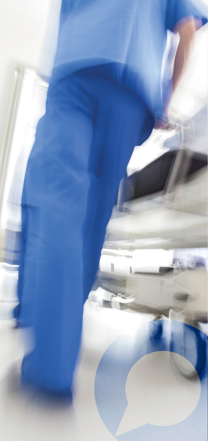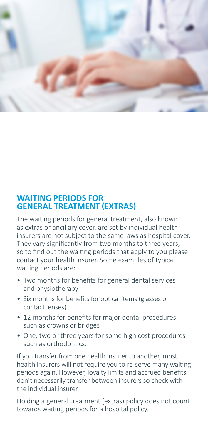

## **WAITING PERIODS FOR GENERAL TREATMENT (EXTRAS)**

The waiting periods for general treatment, also known as extras or ancillary cover, are set by individual health insurers are not subject to the same laws as hospital cover. They vary significantly from two months to three years, so to find out the waiting periods that apply to you please contact your health insurer. Some examples of typical waiting periods are:

- Two months for benefits for general dental services and physiotherapy
- Six months for benefits for optical items (glasses or contact lenses)
- 12 months for benefits for major dental procedures such as crowns or bridges
- One, two or three years for some high cost procedures such as orthodontics.

If you transfer from one health insurer to another, most health insurers will not require you to re-serve many waiting periods again. However, loyalty limits and accrued benefits don't necessarily transfer between insurers so check with the individual insurer.

Holding a general treatment (extras) policy does not count towards waiting periods for a hospital policy.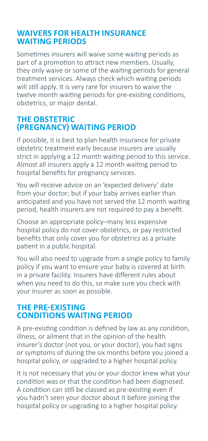## **WAIVERS FOR HEALTH INSURANCE WAITING PERIODS**

Sometimes insurers will waive some waiting periods as part of a promotion to attract new members. Usually, they only waive or some of the waiting periods for general treatment services. Always check which waiting periods will still apply. It is very rare for insurers to waive the twelve month waiting periods for pre-existing conditions, obstetrics, or major dental.

## **THE OBSTETRIC (PREGNANCY) WAITING PERIOD**

If possible, it is best to plan health insurance for private obstetric treatment early because insurers are usually strict in applying a 12 month waiting period to this service. Almost all insurers apply a 12 month waiting period to hospital benefits for pregnancy services.

You will receive advice on an 'expected delivery' date from your doctor; but if your baby arrives earlier than anticipated and you have not served the 12 month waiting period, health insurers are not required to pay a benefit.

Choose an appropriate policy–many less expensive hospital policy do not cover obstetrics, or pay restricted benefits that only cover you for obstetrics as a private patient in a public hospital.

You will also need to upgrade from a single policy to family policy if you want to ensure your baby is covered at birth in a private facility. Insurers have different rules about when you need to do this, so make sure you check with your insurer as soon as possible.

# **THE PRE-EXISTING CONDITIONS WAITING PERIOD**

A pre-existing condition is defined by law as any condition, illness, or ailment that in the opinion of the health insurer's doctor (not you, or your doctor), you had signs or symptoms of during the six months before you joined a hospital policy, or upgraded to a higher hospital policy.

It is not necessary that you or your doctor knew what your condition was or that the condition had been diagnosed. A condition can still be classed as pre-existing even if you hadn't seen your doctor about it before joining the hospital policy or upgrading to a higher hospital policy.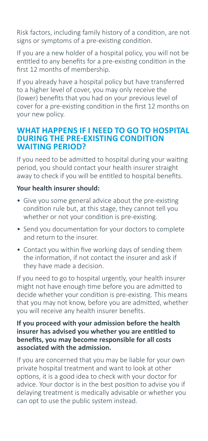Risk factors, including family history of a condition, are not signs or symptoms of a pre-existing condition.

If you are a new holder of a hospital policy, you will not be entitled to any benefits for a pre-existing condition in the first 12 months of membership.

If you already have a hospital policy but have transferred to a higher level of cover, you may only receive the (lower) benefits that you had on your previous level of cover for a pre-existing condition in the first 12 months on your new policy.

## **WHAT HAPPENS IF I NEED TO GO TO HOSPITAL DURING THE PRE-EXISTING CONDITION WAITING PERIOD?**

If you need to be admitted to hospital during your waiting period, you should contact your health insurer straight away to check if you will be entitled to hospital benefits.

## **Your health insurer should:**

- Give you some general advice about the pre-existing condition rule but, at this stage, they cannot tell you whether or not your condition is pre-existing.
- Send you documentation for your doctors to complete and return to the insurer.
- Contact you within five working days of sending them the information, if not contact the insurer and ask if they have made a decision.

If you need to go to hospital urgently, your health insurer might not have enough time before you are admitted to decide whether your condition is pre-existing. This means that you may not know, before you are admitted, whether you will receive any health insurer benefits.

#### **If you proceed with your admission before the health insurer has advised you whether you are entitled to benefits, you may become responsible for all costs associated with the admission.**

If you are concerned that you may be liable for your own private hospital treatment and want to look at other options, it is a good idea to check with your doctor for advice. Your doctor is in the best position to advise you if delaying treatment is medically advisable or whether you can opt to use the public system instead.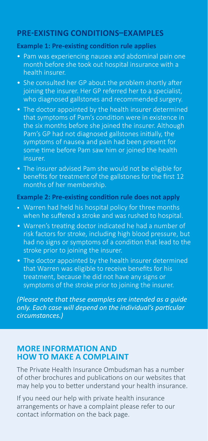# **PRE-EXISTING CONDITIONS–EXAMPLES**

#### **Example 1: Pre-existing condition rule applies**

- Pam was experiencing nausea and abdominal pain one month before she took out hospital insurance with a health insurer.
- She consulted her GP about the problem shortly after joining the insurer. Her GP referred her to a specialist, who diagnosed gallstones and recommended surgery.
- The doctor appointed by the health insurer determined that symptoms of Pam's condition were in existence in the six months before she joined the insurer. Although Pam's GP had not diagnosed gallstones initially, the symptoms of nausea and pain had been present for some time before Pam saw him or joined the health insurer.
- The insurer advised Pam she would not be eligible for benefits for treatment of the gallstones for the first 12 months of her membership.

#### **Example 2: Pre-existing condition rule does not apply**

- Warren had held his hospital policy for three months when he suffered a stroke and was rushed to hospital.
- Warren's treating doctor indicated he had a number of risk factors for stroke, including high blood pressure, but had no signs or symptoms of a condition that lead to the stroke prior to joining the insurer.
- The doctor appointed by the health insurer determined that Warren was eligible to receive benefits for his treatment, because he did not have any signs or symptoms of the stroke prior to joining the insurer.

*(Please note that these examples are intended as a guide only. Each case will depend on the individual's particular circumstances.)*

## **MORE INFORMATION AND HOW TO MAKE A COMPLAINT**

The Private Health Insurance Ombudsman has a number of other brochures and publications on our websites that may help you to better understand your health insurance.

If you need our help with private health insurance arrangements or have a complaint please refer to our contact information on the back page.